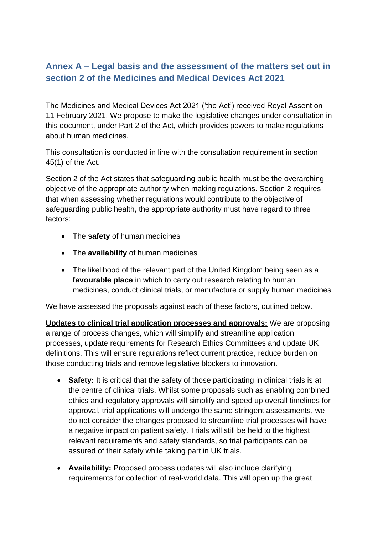## **Annex A – Legal basis and the assessment of the matters set out in section 2 of the Medicines and Medical Devices Act 2021**

The Medicines and Medical Devices Act 2021 ('the Act') received Royal Assent on 11 February 2021. We propose to make the legislative changes under consultation in this document, under Part 2 of the Act, which provides powers to make regulations about human medicines.

This consultation is conducted in line with the consultation requirement in section 45(1) of the Act.

Section 2 of the Act states that safeguarding public health must be the overarching objective of the appropriate authority when making regulations. Section 2 requires that when assessing whether regulations would contribute to the objective of safeguarding public health, the appropriate authority must have regard to three factors:

- The **safety** of human medicines
- The **availability** of human medicines
- The likelihood of the relevant part of the United Kingdom being seen as a **favourable place** in which to carry out research relating to human medicines, conduct clinical trials, or manufacture or supply human medicines

We have assessed the proposals against each of these factors, outlined below.

**Updates to clinical trial application processes and approvals:** We are proposing a range of process changes, which will simplify and streamline application processes, update requirements for Research Ethics Committees and update UK definitions. This will ensure regulations reflect current practice, reduce burden on those conducting trials and remove legislative blockers to innovation.

- **Safety:** It is critical that the safety of those participating in clinical trials is at the centre of clinical trials. Whilst some proposals such as enabling combined ethics and regulatory approvals will simplify and speed up overall timelines for approval, trial applications will undergo the same stringent assessments, we do not consider the changes proposed to streamline trial processes will have a negative impact on patient safety. Trials will still be held to the highest relevant requirements and safety standards, so trial participants can be assured of their safety while taking part in UK trials.
- **Availability:** Proposed process updates will also include clarifying requirements for collection of real-world data. This will open up the great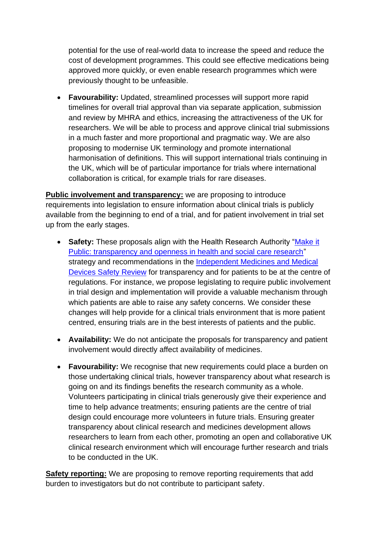potential for the use of real-world data to increase the speed and reduce the cost of development programmes. This could see effective medications being approved more quickly, or even enable research programmes which were previously thought to be unfeasible.

• **Favourability:** Updated, streamlined processes will support more rapid timelines for overall trial approval than via separate application, submission and review by MHRA and ethics, increasing the attractiveness of the UK for researchers. We will be able to process and approve clinical trial submissions in a much faster and more proportional and pragmatic way. We are also proposing to modernise UK terminology and promote international harmonisation of definitions. This will support international trials continuing in the UK, which will be of particular importance for trials where international collaboration is critical, for example trials for rare diseases.

**Public involvement and transparency:** we are proposing to introduce requirements into legislation to ensure information about clinical trials is publicly available from the beginning to end of a trial, and for patient involvement in trial set up from the early stages.

- **Safety:** These proposals align with the Health Research Authority ["Make it](https://www.hra.nhs.uk/planning-and-improving-research/policies-standards-legislation/research-transparency/make-it-public-transparency-and-openness-health-and-social-care-research/)  [Public: transparency and openness in health and social care research"](https://www.hra.nhs.uk/planning-and-improving-research/policies-standards-legislation/research-transparency/make-it-public-transparency-and-openness-health-and-social-care-research/) strategy and recommendations in the [Independent Medicines and Medical](https://www.immdsreview.org.uk/downloads/IMMDSReview_Web.pdf)  [Devices Safety Review](https://www.immdsreview.org.uk/downloads/IMMDSReview_Web.pdf) for transparency and for patients to be at the centre of regulations. For instance, we propose legislating to require public involvement in trial design and implementation will provide a valuable mechanism through which patients are able to raise any safety concerns. We consider these changes will help provide for a clinical trials environment that is more patient centred, ensuring trials are in the best interests of patients and the public.
- **Availability:** We do not anticipate the proposals for transparency and patient involvement would directly affect availability of medicines.
- **Favourability:** We recognise that new requirements could place a burden on those undertaking clinical trials, however transparency about what research is going on and its findings benefits the research community as a whole. Volunteers participating in clinical trials generously give their experience and time to help advance treatments; ensuring patients are the centre of trial design could encourage more volunteers in future trials. Ensuring greater transparency about clinical research and medicines development allows researchers to learn from each other, promoting an open and collaborative UK clinical research environment which will encourage further research and trials to be conducted in the UK.

**Safety reporting:** We are proposing to remove reporting requirements that add burden to investigators but do not contribute to participant safety.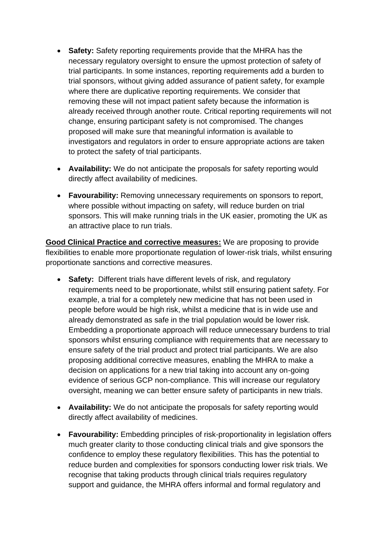- **Safety:** Safety reporting requirements provide that the MHRA has the necessary regulatory oversight to ensure the upmost protection of safety of trial participants. In some instances, reporting requirements add a burden to trial sponsors, without giving added assurance of patient safety, for example where there are duplicative reporting requirements. We consider that removing these will not impact patient safety because the information is already received through another route. Critical reporting requirements will not change, ensuring participant safety is not compromised. The changes proposed will make sure that meaningful information is available to investigators and regulators in order to ensure appropriate actions are taken to protect the safety of trial participants.
- **Availability:** We do not anticipate the proposals for safety reporting would directly affect availability of medicines.
- **Favourability:** Removing unnecessary requirements on sponsors to report, where possible without impacting on safety, will reduce burden on trial sponsors. This will make running trials in the UK easier, promoting the UK as an attractive place to run trials.

**Good Clinical Practice and corrective measures:** We are proposing to provide flexibilities to enable more proportionate regulation of lower-risk trials, whilst ensuring proportionate sanctions and corrective measures.

- **Safety:** Different trials have different levels of risk, and regulatory requirements need to be proportionate, whilst still ensuring patient safety. For example, a trial for a completely new medicine that has not been used in people before would be high risk, whilst a medicine that is in wide use and already demonstrated as safe in the trial population would be lower risk. Embedding a proportionate approach will reduce unnecessary burdens to trial sponsors whilst ensuring compliance with requirements that are necessary to ensure safety of the trial product and protect trial participants. We are also proposing additional corrective measures, enabling the MHRA to make a decision on applications for a new trial taking into account any on-going evidence of serious GCP non-compliance. This will increase our regulatory oversight, meaning we can better ensure safety of participants in new trials.
- **Availability:** We do not anticipate the proposals for safety reporting would directly affect availability of medicines.
- **Favourability:** Embedding principles of risk-proportionality in legislation offers much greater clarity to those conducting clinical trials and give sponsors the confidence to employ these regulatory flexibilities. This has the potential to reduce burden and complexities for sponsors conducting lower risk trials. We recognise that taking products through clinical trials requires regulatory support and guidance, the MHRA offers informal and formal regulatory and